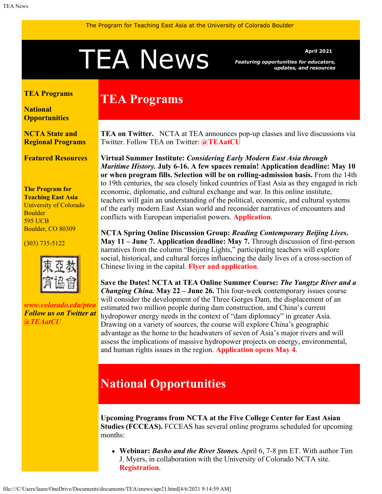# <span id="page-0-1"></span>A News *Featuring opportunities for educators*

*Featuring opportunities for educators, updates, and resources*

#### <span id="page-0-0"></span>**[TEA Programs](#page-0-0)**

**[National](#page-0-1) [Opportunities](#page-0-1)**

**[NCTA State and](#page-1-0) [Regional Programs](#page-1-0)**

**[Featured Resources](#page-2-0)**

**The Program for Teaching East Asia** University of Colorado Boulder 595 UCB Boulder, CO 80309

(303) 735-5122



*[www.colorado.edu/ptea](http://www.colorado.edu/cas/tea) Follow us on Twitter at [@TEAatCU](https://twitter.com/TEAatCU)*

## **TEA Programs**

**TEA on Twitter.** NCTA at TEA announces pop-up classes and live discussions via Twitter. Follow TEA on Twitter: **[@TEAatCU](https://twitter.com/TEAatCU)**

**Virtual Summer Institute:** *Considering Early Modern East Asia through Maritime History.* **July 6-16. A few spaces remain! Application deadline: May 10 or when program fills. Selection will be on rolling-admission basis.** From the 14th to 19th centuries, the sea closely linked countries of East Asia as they engaged in rich economic, diplomatic, and cultural exchange and war. In this online institute, teachers will gain an understanding of the political, economic, and cultural systems of the early modern East Asian world and reconsider narratives of encounters and conflicts with European imperialist powers. **[Application](https://www.colorado.edu/ptea/sites/default/files/attached-files/si2021application.pdf)**.

**NCTA Spring Online Discussion Group:** *Reading Contemporary Beijing Lives***. May 11 – June 7. Application deadline: May 7.** Through discussion of first-person narratives from the column "Beijing Lights," participating teachers will explore social, historical, and cultural forces influencing the daily lives of a cross-section of Chinese living in the capital. **[Flyer and application](https://www.colorado.edu/ptea/sites/default/files/attached-files/beijinglights_courseflyer_0.pdf)**.

**Save the Dates! NCTA at TEA Online Summer Course:** *The Yangtze River and a Changing China.* **May 22 – June 26.** This four-week contemporary issues course will consider the development of the Three Gorges Dam, the displacement of an estimated two million people during dam construction, and China's current hydropower energy needs in the context of "dam diplomacy" in greater Asia. Drawing on a variety of sources, the course will explore China's geographic advantage as the home to the headwaters of seven of Asia's major rivers and will assess the implications of massive hydropower projects on energy, environmental, and human rights issues in the region. **[Application opens May 4](http://colorado.edu/ptea)**.

## **National Opportunities**

**Upcoming Programs from NCTA at the Five College Center for East Asian Studies (FCCEAS).** FCCEAS has several online programs scheduled for upcoming months:

**Webinar:** *Basho and the River Stones.* April 6, 7-8 pm ET. With author Tim J. Myers, in collaboration with the University of Colorado NCTA site. **[Registration](https://attendee.gotowebinar.com/register/1873415394250377230)**.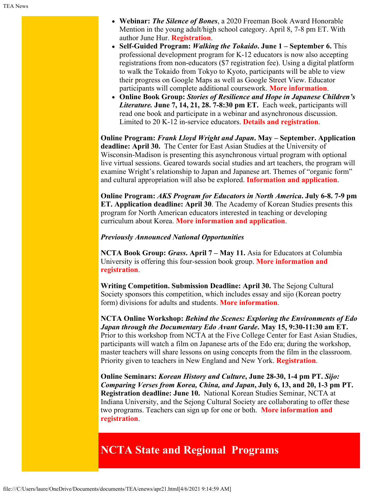- **Webinar:** *The Silence of Bones*, a 2020 Freeman Book Award Honorable Mention in the young adult/high school category. April 8, 7-8 pm ET. With author June Hur. **[Registration](https://attendee.gotowebinar.com/register/4074966427428569868)**.
- **Self-Guided Program:** *Walking the Tokaido***. June 1 September 6.** This professional development program for K-12 educators is now also accepting registrations from non-educators (\$7 registration fee). Using a digital platform to walk the Tokaido from Tokyo to Kyoto, participants will be able to view their progress on Google Maps as well as Google Street View. Educator participants will complete additional coursework. **[More information](https://www.fivecolleges.edu/fcceas/ncta/walking-the-tokaido)**.
- **Online Book Group:** *Stories of Resilience and Hope in Japanese Children's Literature.* **June 7, 14, 21, 28. 7-8:30 pm ET.** Each week, participants will read one book and participate in a webinar and asynchronous discussion. Limited to 20 K-12 in-service educators. **[Details and registration](https://www.fivecolleges.edu/fcceas/ncta/japanese-children-s-literature)**.

**Online Program:** *Frank Lloyd Wright and Japan***. May – September. Application deadline: April 30.** The Center for East Asian Studies at the University of Wisconsin-Madison is presenting this asynchronous virtual program with optional live virtual sessions. Geared towards social studies and art teachers, the program will examine Wright's relationship to Japan and Japanese art. Themes of "organic form" and cultural appropriation will also be explored. **[Information and application](https://eastasia.wisc.edu/eaum/frank-lloyd-wright-and-japan/)**.

**Online Program:** *AKS Program for Educators in North America***. July 6-8. 7-9 pm ET. Application deadline: April 30**. The Academy of Korean Studies presents this program for North American educators interested in teaching or developing curriculum about Korea. **[More information and application](https://www.aks.ac.kr/ikorea/english/)**.

#### *Previously Announced National Opportunities*

**NCTA Book Group:** *Grass***. April 7 – May 11.** Asia for Educators at Columbia University is offering this four-session book group. **[More information and](http://afe.easia.columbia.edu/online_course/) [registration](http://afe.easia.columbia.edu/online_course/)**.

**Writing Competition. Submission Deadline: April 30.** The Sejong Cultural Society sponsors this competition, which includes essay and sijo (Korean poetry form) divisions for adults and students. **[More information](https://writing.sejongculturalsociety.org/index.html)**.

**NCTA Online Workshop:** *Behind the Scenes: Exploring the Environments of Edo Japan through the Documentary Edo Avant Garde***. May 15, 9:30-11:30 am ET.** Prior to this workshop from NCTA at the Five College Center for East Asian Studies, participants will watch a film on Japanese arts of the Edo era; during the workshop, master teachers will share lessons on using concepts from the film in the classroom. Priority given to teachers in New England and New York. **[Registration](https://www.fivecolleges.edu/fcceas/ncta/edo-avant-garde-online-workshop)**.

**Online Seminars:** *Korean History and Culture***, June 28-30, 1-4 pm PT.** *Sijo: Comparing Verses from Korea, China, and Japan***, July 6, 13, and 20, 1-3 pm PT. Registration deadline: June 10.** National Korean Studies Seminar, NCTA at Indiana University, and the Sejong Cultural Society are collaborating to offer these two programs. Teachers can sign up for one or both. **[More information and](https://docs.google.com/document/d/1nnqj-iA48I4ZUFj_eWm-S8HvyVOy7zoxEhLiRem9wTU/edit) [registration](https://docs.google.com/document/d/1nnqj-iA48I4ZUFj_eWm-S8HvyVOy7zoxEhLiRem9wTU/edit)**.

### <span id="page-1-0"></span>**NCTA State and Regional Programs**